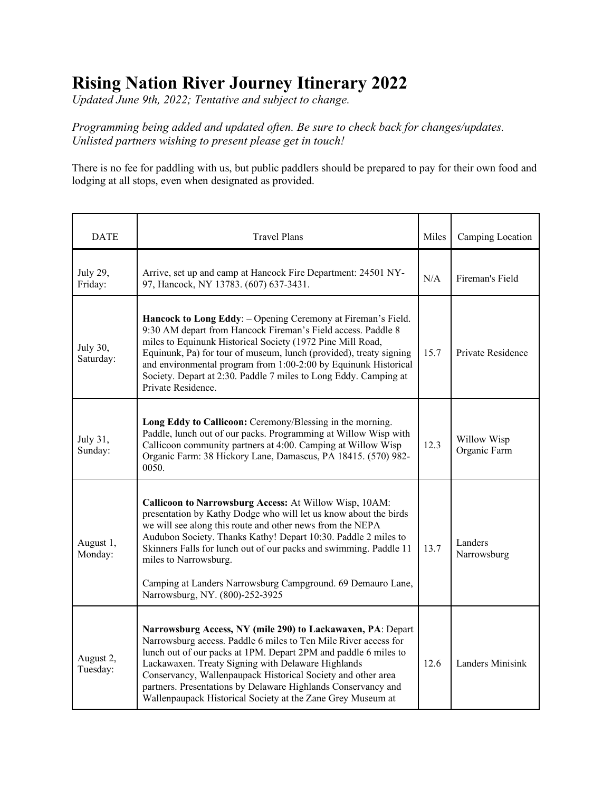## **Rising Nation River Journey Itinerary 2022**

*Updated June 9th, 2022; Tentative and subject to change.* 

*Programming being added and updated often. Be sure to check back for changes/updates. Unlisted partners wishing to present please get in touch!*

There is no fee for paddling with us, but public paddlers should be prepared to pay for their own food and lodging at all stops, even when designated as provided.

| <b>DATE</b>           | <b>Travel Plans</b>                                                                                                                                                                                                                                                                                                                                                                                                                                       | Miles | Camping Location            |
|-----------------------|-----------------------------------------------------------------------------------------------------------------------------------------------------------------------------------------------------------------------------------------------------------------------------------------------------------------------------------------------------------------------------------------------------------------------------------------------------------|-------|-----------------------------|
| July 29,<br>Friday:   | Arrive, set up and camp at Hancock Fire Department: 24501 NY-<br>97, Hancock, NY 13783. (607) 637-3431.                                                                                                                                                                                                                                                                                                                                                   | N/A   | Fireman's Field             |
| July 30,<br>Saturday: | Hancock to Long Eddy: - Opening Ceremony at Fireman's Field.<br>9:30 AM depart from Hancock Fireman's Field access. Paddle 8<br>miles to Equinunk Historical Society (1972 Pine Mill Road,<br>Equinunk, Pa) for tour of museum, lunch (provided), treaty signing<br>and environmental program from 1:00-2:00 by Equinunk Historical<br>Society. Depart at 2:30. Paddle 7 miles to Long Eddy. Camping at<br>Private Residence.                             | 15.7  | Private Residence           |
| July 31,<br>Sunday:   | Long Eddy to Callicoon: Ceremony/Blessing in the morning.<br>Paddle, lunch out of our packs. Programming at Willow Wisp with<br>Callicoon community partners at 4:00. Camping at Willow Wisp<br>Organic Farm: 38 Hickory Lane, Damascus, PA 18415. (570) 982-<br>0050.                                                                                                                                                                                    | 12.3  | Willow Wisp<br>Organic Farm |
| August 1,<br>Monday:  | Callicoon to Narrowsburg Access: At Willow Wisp, 10AM:<br>presentation by Kathy Dodge who will let us know about the birds<br>we will see along this route and other news from the NEPA<br>Audubon Society. Thanks Kathy! Depart 10:30. Paddle 2 miles to<br>Skinners Falls for lunch out of our packs and swimming. Paddle 11<br>miles to Narrowsburg.<br>Camping at Landers Narrowsburg Campground. 69 Demauro Lane,<br>Narrowsburg, NY. (800)-252-3925 | 13.7  | Landers<br>Narrowsburg      |
| August 2,<br>Tuesday: | Narrowsburg Access, NY (mile 290) to Lackawaxen, PA: Depart<br>Narrowsburg access. Paddle 6 miles to Ten Mile River access for<br>lunch out of our packs at 1PM. Depart 2PM and paddle 6 miles to<br>Lackawaxen. Treaty Signing with Delaware Highlands<br>Conservancy, Wallenpaupack Historical Society and other area<br>partners. Presentations by Delaware Highlands Conservancy and<br>Wallenpaupack Historical Society at the Zane Grey Museum at   | 12.6  | Landers Minisink            |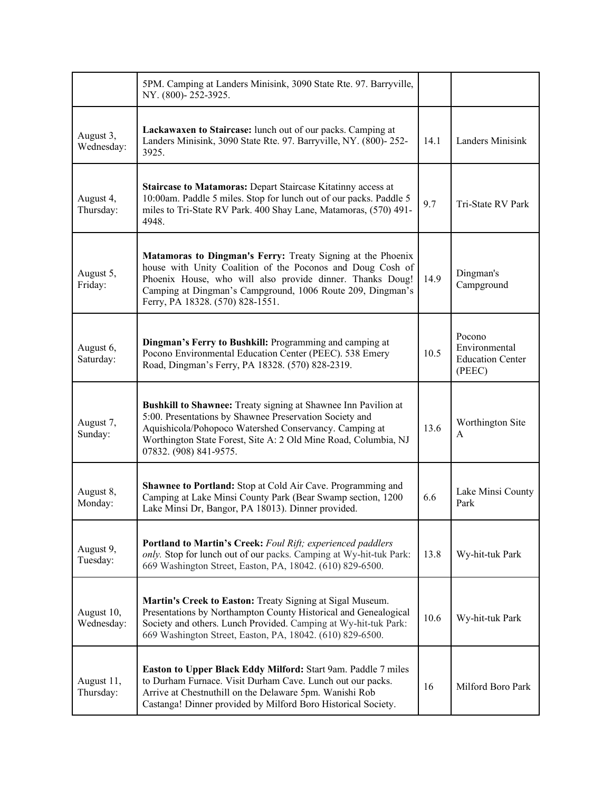|                          | 5PM. Camping at Landers Minisink, 3090 State Rte. 97. Barryville,<br>NY. (800)-252-3925.                                                                                                                                                                                                 |      |                                                              |
|--------------------------|------------------------------------------------------------------------------------------------------------------------------------------------------------------------------------------------------------------------------------------------------------------------------------------|------|--------------------------------------------------------------|
| August 3,<br>Wednesday:  | Lackawaxen to Staircase: lunch out of our packs. Camping at<br>Landers Minisink, 3090 State Rte. 97. Barryville, NY. (800)-252-<br>3925.                                                                                                                                                 | 14.1 | Landers Minisink                                             |
| August 4,<br>Thursday:   | <b>Staircase to Matamoras: Depart Staircase Kitatinny access at</b><br>10:00am. Paddle 5 miles. Stop for lunch out of our packs. Paddle 5<br>miles to Tri-State RV Park. 400 Shay Lane, Matamoras, (570) 491-<br>4948.                                                                   | 9.7  | Tri-State RV Park                                            |
| August 5,<br>Friday:     | Matamoras to Dingman's Ferry: Treaty Signing at the Phoenix<br>house with Unity Coalition of the Poconos and Doug Cosh of<br>Phoenix House, who will also provide dinner. Thanks Doug!<br>Camping at Dingman's Campground, 1006 Route 209, Dingman's<br>Ferry, PA 18328. (570) 828-1551. | 14.9 | Dingman's<br>Campground                                      |
| August 6,<br>Saturday:   | Dingman's Ferry to Bushkill: Programming and camping at<br>Pocono Environmental Education Center (PEEC). 538 Emery<br>Road, Dingman's Ferry, PA 18328. (570) 828-2319.                                                                                                                   | 10.5 | Pocono<br>Environmental<br><b>Education Center</b><br>(PEEC) |
| August 7,<br>Sunday:     | Bushkill to Shawnee: Treaty signing at Shawnee Inn Pavilion at<br>5:00. Presentations by Shawnee Preservation Society and<br>Aquishicola/Pohopoco Watershed Conservancy. Camping at<br>Worthington State Forest, Site A: 2 Old Mine Road, Columbia, NJ<br>07832. (908) 841-9575.         | 13.6 | Worthington Site<br>А                                        |
| August 8,<br>Monday:     | Shawnee to Portland: Stop at Cold Air Cave. Programming and<br>Camping at Lake Minsi County Park (Bear Swamp section, 1200<br>Lake Minsi Dr, Bangor, PA 18013). Dinner provided.                                                                                                         | 6.6  | Lake Minsi County<br>Park                                    |
| August 9,<br>Tuesday:    | Portland to Martin's Creek: Foul Rift; experienced paddlers<br>only. Stop for lunch out of our packs. Camping at Wy-hit-tuk Park:<br>669 Washington Street, Easton, PA, 18042. (610) 829-6500.                                                                                           | 13.8 | Wy-hit-tuk Park                                              |
| August 10,<br>Wednesday: | Martin's Creek to Easton: Treaty Signing at Sigal Museum.<br>Presentations by Northampton County Historical and Genealogical<br>Society and others. Lunch Provided. Camping at Wy-hit-tuk Park:<br>669 Washington Street, Easton, PA, 18042. (610) 829-6500.                             | 10.6 | Wy-hit-tuk Park                                              |
| August 11,<br>Thursday:  | Easton to Upper Black Eddy Milford: Start 9am. Paddle 7 miles<br>to Durham Furnace. Visit Durham Cave. Lunch out our packs.<br>Arrive at Chestnuthill on the Delaware 5pm. Wanishi Rob<br>Castanga! Dinner provided by Milford Boro Historical Society.                                  | 16   | Milford Boro Park                                            |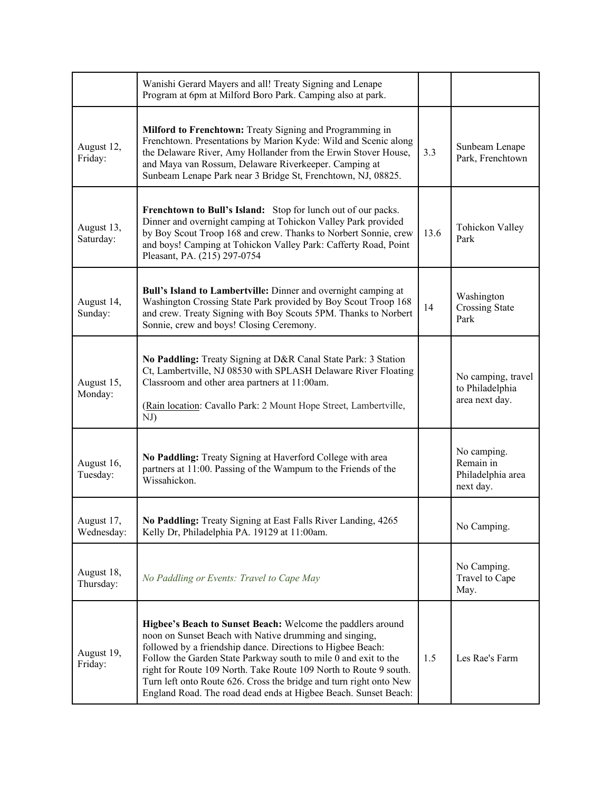|                          | Wanishi Gerard Mayers and all! Treaty Signing and Lenape<br>Program at 6pm at Milford Boro Park. Camping also at park.                                                                                                                                                                                                                                                                                                                                                |      |                                                            |
|--------------------------|-----------------------------------------------------------------------------------------------------------------------------------------------------------------------------------------------------------------------------------------------------------------------------------------------------------------------------------------------------------------------------------------------------------------------------------------------------------------------|------|------------------------------------------------------------|
| August 12,<br>Friday:    | Milford to Frenchtown: Treaty Signing and Programming in<br>Frenchtown. Presentations by Marion Kyde: Wild and Scenic along<br>the Delaware River, Amy Hollander from the Erwin Stover House,<br>and Maya van Rossum, Delaware Riverkeeper. Camping at<br>Sunbeam Lenape Park near 3 Bridge St, Frenchtown, NJ, 08825.                                                                                                                                                | 3.3  | Sunbeam Lenape<br>Park, Frenchtown                         |
| August 13,<br>Saturday:  | Frenchtown to Bull's Island: Stop for lunch out of our packs.<br>Dinner and overnight camping at Tohickon Valley Park provided<br>by Boy Scout Troop 168 and crew. Thanks to Norbert Sonnie, crew<br>and boys! Camping at Tohickon Valley Park: Cafferty Road, Point<br>Pleasant, PA. (215) 297-0754                                                                                                                                                                  | 13.6 | Tohickon Valley<br>Park                                    |
| August 14,<br>Sunday:    | Bull's Island to Lambertville: Dinner and overnight camping at<br>Washington Crossing State Park provided by Boy Scout Troop 168<br>and crew. Treaty Signing with Boy Scouts 5PM. Thanks to Norbert<br>Sonnie, crew and boys! Closing Ceremony.                                                                                                                                                                                                                       | 14   | Washington<br><b>Crossing State</b><br>Park                |
| August 15,<br>Monday:    | No Paddling: Treaty Signing at D&R Canal State Park: 3 Station<br>Ct, Lambertville, NJ 08530 with SPLASH Delaware River Floating<br>Classroom and other area partners at 11:00am.<br>(Rain location: Cavallo Park: 2 Mount Hope Street, Lambertville,<br>NJ)                                                                                                                                                                                                          |      | No camping, travel<br>to Philadelphia<br>area next day.    |
| August 16,<br>Tuesday:   | No Paddling: Treaty Signing at Haverford College with area<br>partners at 11:00. Passing of the Wampum to the Friends of the<br>Wissahickon.                                                                                                                                                                                                                                                                                                                          |      | No camping.<br>Remain in<br>Philadelphia area<br>next day. |
| August 17,<br>Wednesday: | No Paddling: Treaty Signing at East Falls River Landing, 4265<br>Kelly Dr, Philadelphia PA. 19129 at 11:00am.                                                                                                                                                                                                                                                                                                                                                         |      | No Camping.                                                |
| August 18,<br>Thursday:  | No Paddling or Events: Travel to Cape May                                                                                                                                                                                                                                                                                                                                                                                                                             |      | No Camping.<br>Travel to Cape<br>May.                      |
| August 19,<br>Friday:    | Higbee's Beach to Sunset Beach: Welcome the paddlers around<br>noon on Sunset Beach with Native drumming and singing,<br>followed by a friendship dance. Directions to Higbee Beach:<br>Follow the Garden State Parkway south to mile 0 and exit to the<br>right for Route 109 North. Take Route 109 North to Route 9 south.<br>Turn left onto Route 626. Cross the bridge and turn right onto New<br>England Road. The road dead ends at Higbee Beach. Sunset Beach: | 1.5  | Les Rae's Farm                                             |